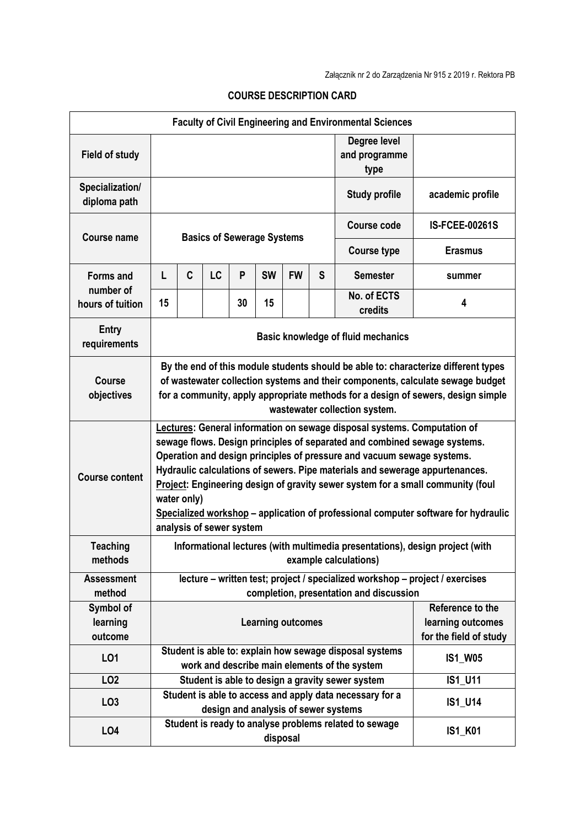| <b>Faculty of Civil Engineering and Environmental Sciences</b> |                                                                                                                                                                                                                                                                                           |                                                                                                                                                                                                                                                                                                                                                                                                                                                                                                                                     |    |    |                                                                                                             |           |                                                                 |                                                        |                       |
|----------------------------------------------------------------|-------------------------------------------------------------------------------------------------------------------------------------------------------------------------------------------------------------------------------------------------------------------------------------------|-------------------------------------------------------------------------------------------------------------------------------------------------------------------------------------------------------------------------------------------------------------------------------------------------------------------------------------------------------------------------------------------------------------------------------------------------------------------------------------------------------------------------------------|----|----|-------------------------------------------------------------------------------------------------------------|-----------|-----------------------------------------------------------------|--------------------------------------------------------|-----------------------|
| <b>Field of study</b>                                          |                                                                                                                                                                                                                                                                                           |                                                                                                                                                                                                                                                                                                                                                                                                                                                                                                                                     |    |    |                                                                                                             |           |                                                                 | Degree level<br>and programme<br>type                  |                       |
| Specialization/<br>diploma path                                |                                                                                                                                                                                                                                                                                           |                                                                                                                                                                                                                                                                                                                                                                                                                                                                                                                                     |    |    |                                                                                                             |           |                                                                 | <b>Study profile</b>                                   | academic profile      |
| <b>Course name</b>                                             | <b>Basics of Sewerage Systems</b>                                                                                                                                                                                                                                                         |                                                                                                                                                                                                                                                                                                                                                                                                                                                                                                                                     |    |    |                                                                                                             |           |                                                                 | <b>Course code</b>                                     | <b>IS-FCEE-00261S</b> |
|                                                                |                                                                                                                                                                                                                                                                                           |                                                                                                                                                                                                                                                                                                                                                                                                                                                                                                                                     |    |    |                                                                                                             |           |                                                                 | <b>Course type</b>                                     | <b>Erasmus</b>        |
| <b>Forms and</b>                                               | L                                                                                                                                                                                                                                                                                         | C                                                                                                                                                                                                                                                                                                                                                                                                                                                                                                                                   | LC | P  | <b>SW</b>                                                                                                   | <b>FW</b> | S                                                               | <b>Semester</b>                                        | summer                |
| number of<br>hours of tuition                                  | 15                                                                                                                                                                                                                                                                                        |                                                                                                                                                                                                                                                                                                                                                                                                                                                                                                                                     |    | 30 | 15                                                                                                          |           |                                                                 | No. of ECTS<br>credits                                 | 4                     |
| <b>Entry</b><br>requirements                                   | Basic knowledge of fluid mechanics                                                                                                                                                                                                                                                        |                                                                                                                                                                                                                                                                                                                                                                                                                                                                                                                                     |    |    |                                                                                                             |           |                                                                 |                                                        |                       |
| <b>Course</b><br>objectives                                    | By the end of this module students should be able to: characterize different types<br>of wastewater collection systems and their components, calculate sewage budget<br>for a community, apply appropriate methods for a design of sewers, design simple<br>wastewater collection system. |                                                                                                                                                                                                                                                                                                                                                                                                                                                                                                                                     |    |    |                                                                                                             |           |                                                                 |                                                        |                       |
| <b>Course content</b>                                          |                                                                                                                                                                                                                                                                                           | Lectures: General information on sewage disposal systems. Computation of<br>sewage flows. Design principles of separated and combined sewage systems.<br>Operation and design principles of pressure and vacuum sewage systems.<br>Hydraulic calculations of sewers. Pipe materials and sewerage appurtenances.<br>Project: Engineering design of gravity sewer system for a small community (foul<br>water only)<br>Specialized workshop - application of professional computer software for hydraulic<br>analysis of sewer system |    |    |                                                                                                             |           |                                                                 |                                                        |                       |
| <b>Teaching</b><br>methods                                     | Informational lectures (with multimedia presentations), design project (with<br>example calculations)                                                                                                                                                                                     |                                                                                                                                                                                                                                                                                                                                                                                                                                                                                                                                     |    |    |                                                                                                             |           |                                                                 |                                                        |                       |
| <b>Assessment</b><br>method                                    | lecture – written test; project / specialized workshop – project / exercises<br>completion, presentation and discussion                                                                                                                                                                   |                                                                                                                                                                                                                                                                                                                                                                                                                                                                                                                                     |    |    |                                                                                                             |           |                                                                 |                                                        |                       |
| Symbol of<br>learning<br>outcome                               | <b>Learning outcomes</b>                                                                                                                                                                                                                                                                  |                                                                                                                                                                                                                                                                                                                                                                                                                                                                                                                                     |    |    |                                                                                                             |           | Reference to the<br>learning outcomes<br>for the field of study |                                                        |                       |
| L01                                                            | Student is able to: explain how sewage disposal systems<br><b>IS1_W05</b><br>work and describe main elements of the system                                                                                                                                                                |                                                                                                                                                                                                                                                                                                                                                                                                                                                                                                                                     |    |    |                                                                                                             |           |                                                                 |                                                        |                       |
| LO <sub>2</sub>                                                |                                                                                                                                                                                                                                                                                           |                                                                                                                                                                                                                                                                                                                                                                                                                                                                                                                                     |    |    |                                                                                                             |           |                                                                 | Student is able to design a gravity sewer system       | <b>IS1 U11</b>        |
| LO <sub>3</sub>                                                |                                                                                                                                                                                                                                                                                           |                                                                                                                                                                                                                                                                                                                                                                                                                                                                                                                                     |    |    | Student is able to access and apply data necessary for a<br>IS1_U14<br>design and analysis of sewer systems |           |                                                                 |                                                        |                       |
| LO <sub>4</sub>                                                |                                                                                                                                                                                                                                                                                           |                                                                                                                                                                                                                                                                                                                                                                                                                                                                                                                                     |    |    |                                                                                                             | disposal  |                                                                 | Student is ready to analyse problems related to sewage | <b>IS1_K01</b>        |

## **COURSE DESCRIPTION CARD**